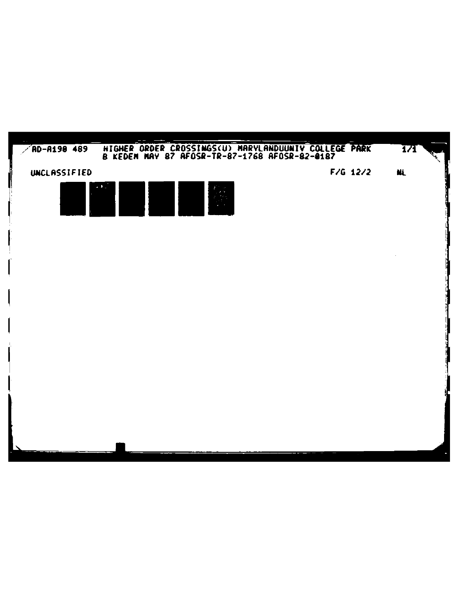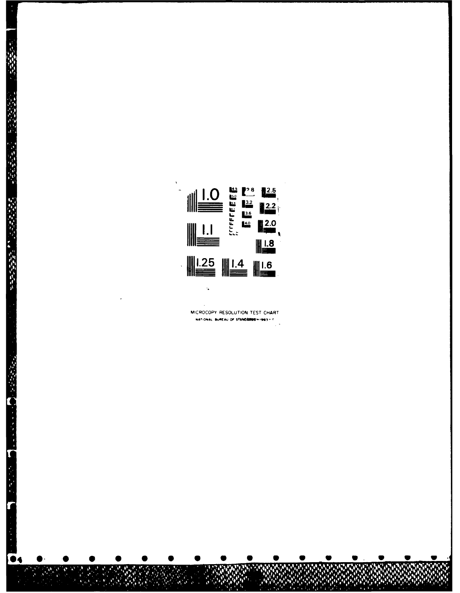

2.2.2.2.2.2.

○ 高橋のある

 $\overline{\phantom{a}}$ MICROCOPY RESOLUTION TEST CHART NATIONAL BUREAU OF STANDARDSHIDES - 0  $\sim$ 

 $\ddot{\phantom{a}}$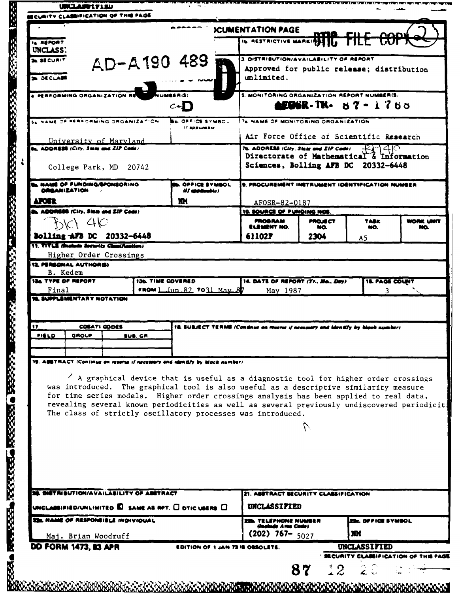|                                                 |                                                                                               |  |                                                                                  |                                                                                                                                                                                                                                                                                                                                                                                                                                              | <b>ICUMENTATION PAGE</b>                                                            | ma             | <b>AQDY</b>                                       |           |
|-------------------------------------------------|-----------------------------------------------------------------------------------------------|--|----------------------------------------------------------------------------------|----------------------------------------------------------------------------------------------------------------------------------------------------------------------------------------------------------------------------------------------------------------------------------------------------------------------------------------------------------------------------------------------------------------------------------------------|-------------------------------------------------------------------------------------|----------------|---------------------------------------------------|-----------|
| 14 REPORT<br>UNCLASS.                           |                                                                                               |  |                                                                                  |                                                                                                                                                                                                                                                                                                                                                                                                                                              | <b>16. RESTRICTIVE MARKINGS ITS</b>                                                 |                | <b>UUT</b>                                        |           |
| <b>A SECURIT</b>                                |                                                                                               |  |                                                                                  | AD-A190 489                                                                                                                                                                                                                                                                                                                                                                                                                                  | 3. DISTRIBUTION/AVAILABILITY OF REPORT                                              |                |                                                   |           |
| 560.48                                          |                                                                                               |  |                                                                                  |                                                                                                                                                                                                                                                                                                                                                                                                                                              | Approved for public release; distribution<br>unlimited.                             |                |                                                   |           |
|                                                 | A PERFORMING ORGANIZATION RE                                                                  |  |                                                                                  | 111 <b>1125 R</b> (S)                                                                                                                                                                                                                                                                                                                                                                                                                        | 5. MONITORING ORGANIZATION REPORT NUMBER(S.                                         |                |                                                   |           |
|                                                 |                                                                                               |  |                                                                                  | c                                                                                                                                                                                                                                                                                                                                                                                                                                            |                                                                                     |                | <b>AEDSR-TK- 87-1765</b>                          |           |
|                                                 | 54 NAME OF PERFORMING ORGANIZATION                                                            |  |                                                                                  | <b>BD. OFFICE SYMBC.</b><br>11 врршавне                                                                                                                                                                                                                                                                                                                                                                                                      | 76. NAME OF MONITORING ORGANIZATION                                                 |                |                                                   |           |
|                                                 | University of Maryland<br><b>AL ADDRESS (City, State and ZIP Code)</b>                        |  |                                                                                  |                                                                                                                                                                                                                                                                                                                                                                                                                                              | Air Force Office of Scientific Research                                             |                |                                                   |           |
|                                                 |                                                                                               |  |                                                                                  |                                                                                                                                                                                                                                                                                                                                                                                                                                              | 7b. ADDRESS (City. State and ZIP Code)<br>Directorate of Mathematical & Information |                | $-140$                                            |           |
|                                                 | College Park, MD 20742                                                                        |  |                                                                                  |                                                                                                                                                                                                                                                                                                                                                                                                                                              | Sciences, Bolling AFB DC 20332-6448                                                 |                |                                                   |           |
|                                                 | <b>L. NAME OF FUNDING/BPONSORING</b><br><b>ORGANIZATION</b>                                   |  |                                                                                  | OFFICE SYMBOL<br>(If applicable)                                                                                                                                                                                                                                                                                                                                                                                                             | 9. PROCUREMENT INSTRUMENT IDENTIFICATION NUMBER                                     |                |                                                   |           |
| <b>AFOST</b>                                    |                                                                                               |  |                                                                                  | m                                                                                                                                                                                                                                                                                                                                                                                                                                            | AFOSR-82-0187                                                                       |                |                                                   |           |
|                                                 | <b>B. ADDRESS (City, State and ZIP Code)</b>                                                  |  |                                                                                  |                                                                                                                                                                                                                                                                                                                                                                                                                                              | 10. SOURCE OF FUNDING NOS<br><b>PROGRAM</b>                                         | <b>PROJECT</b> | <b>TASK</b>                                       | WORK UNIT |
|                                                 | AV 40                                                                                         |  |                                                                                  |                                                                                                                                                                                                                                                                                                                                                                                                                                              | ELEMENT NO.                                                                         | NO.            | MO.                                               | NQ.       |
|                                                 | Bolling AFB DC 20332-6448<br>11. TITLE (Include Security Classification)                      |  |                                                                                  |                                                                                                                                                                                                                                                                                                                                                                                                                                              | 611027                                                                              | 2304           | A5                                                |           |
|                                                 | Higher Order Crossings                                                                        |  |                                                                                  |                                                                                                                                                                                                                                                                                                                                                                                                                                              |                                                                                     |                |                                                   |           |
|                                                 | 12. PERSONAL AUTHORS)                                                                         |  |                                                                                  |                                                                                                                                                                                                                                                                                                                                                                                                                                              |                                                                                     |                |                                                   |           |
|                                                 | B. Kedem<br><b>13a TYPE OF REPORT</b>                                                         |  | <b>13b. TIME COVERED</b>                                                         |                                                                                                                                                                                                                                                                                                                                                                                                                                              | 14. DATE OF REPORT (Yr., Ma., Day)                                                  |                | <b>18. PAGE COUNT</b>                             |           |
| Final                                           |                                                                                               |  |                                                                                  | <b>FROM 1 Jun 82 7031 May 87</b>                                                                                                                                                                                                                                                                                                                                                                                                             | May 1987                                                                            |                | 3                                                 |           |
| 17.<br>COSATI CODES<br>GROUP<br>FIELD<br>SUB GR |                                                                                               |  | 18. SUBJECT TERMB (Continue on rearns if necessary and identify by black number) |                                                                                                                                                                                                                                                                                                                                                                                                                                              |                                                                                     |                |                                                   |           |
|                                                 |                                                                                               |  |                                                                                  |                                                                                                                                                                                                                                                                                                                                                                                                                                              |                                                                                     |                |                                                   |           |
|                                                 |                                                                                               |  |                                                                                  | 19. ABBTRACT (Continue on reserve if necessary and identify by block number)                                                                                                                                                                                                                                                                                                                                                                 |                                                                                     |                |                                                   |           |
|                                                 |                                                                                               |  |                                                                                  | $\prime$ A graphical device that is useful as a diagnostic tool for higher order crossings<br>was introduced. The graphical tool is also useful as a descriptive similarity measure<br>for time series models. Higher order crossings analysis has been applied to real data,<br>revealing several known periodicities as well as several previously undiscovered periodicit:<br>The class of strictly oscillatory processes was introduced. |                                                                                     |                |                                                   |           |
|                                                 | <b>38. DISTRIBUTION/AVAILABILITY OF ABSTRACT</b><br><b>ZEL NAME OF RESPONSIBLE INDIVIDUAL</b> |  |                                                                                  | UNCLABBIFIED/UNLIMITED $\blacksquare$ same as not. $\square$ otic users $\square$                                                                                                                                                                                                                                                                                                                                                            | 21. ABSTRACT SECURITY CLASSIFICATION<br>UNCLASSIFIED<br><b>Chelude Area Cadel</b>   |                | 22c. OFFICE SYMBOL                                |           |
|                                                 | Maj. Brian Woodruff                                                                           |  |                                                                                  |                                                                                                                                                                                                                                                                                                                                                                                                                                              | $(202)$ 767- $5027$                                                                 |                | <b>M</b>                                          |           |
|                                                 | <b>DD FORM 1473, 83 APR</b>                                                                   |  |                                                                                  | EDITION OF 1 JAN 73 18 OBSOLETE                                                                                                                                                                                                                                                                                                                                                                                                              |                                                                                     |                | UNCLASSIFIED<br><b>SECURITY CLASSIFICATION OF</b> |           |

 $\begin{array}{c} 0 \\ 0 \\ 0 \\ 0 \end{array}$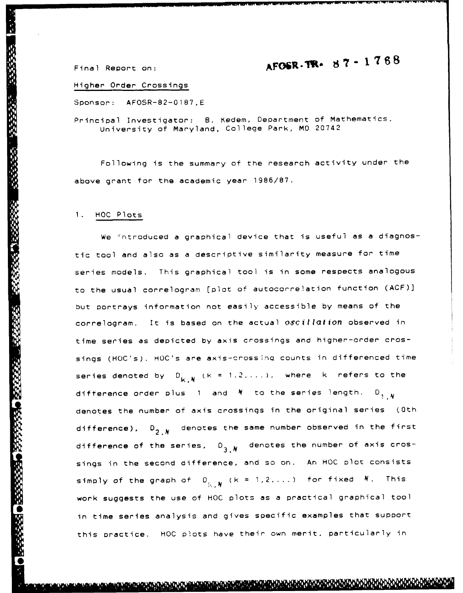## $\epsilon$  **AFOSR - TR.**  $\theta$  **7**  $\epsilon$  1  $\frac{768}{9}$

Higher Order Crossings

Sponsor: AFOSR-82-0187,E

Principal Investigator: **8.** Kedem, Department of Mathematics, University of Maryland, College Park, MD 20742

Following is the summary of the research activity under the above grant for the academic year **1986/87.**

## 1. **HOC** Plots

We introduced a graphical device that is useful as a diagnostic tool and also as a descriptive similarity measure for time series models. This graphical tool is in some respects analogous to the usual correlogram [plot of autocorrelation function (ACF)] but portrays information not easily accessible by means of the correlogram. It is based on the actual oscillation observed in time series as depicted by axis crossings and higher-order crossings (HOC's). HOC's are axis-crossing counts in differenced time series denoted by  $D_{k,N}$  ( $k = 1, 2, \ldots$ ), where  $k$  refers to the difference order plus 1 and  $N$  to the series length.  $D_{1-N}$ denotes the number of axis crossings in the original series (Oth difference),  $D_{2,N}$  denotes the same number observed in the first difference of the series,  $D_{3,N}$  denotes the number of axis crossings in the second difference, and so on. An HOC plot consists simply of the graph of  $0_{i...N}$   $(k = 1, 2, ...)$  for fixed  $N$ . This work suggests the use of **HOC** plots as a practical graphical tool in time series analysis and gives specific examples that support this practice. HOC plots have their own merit, particularly in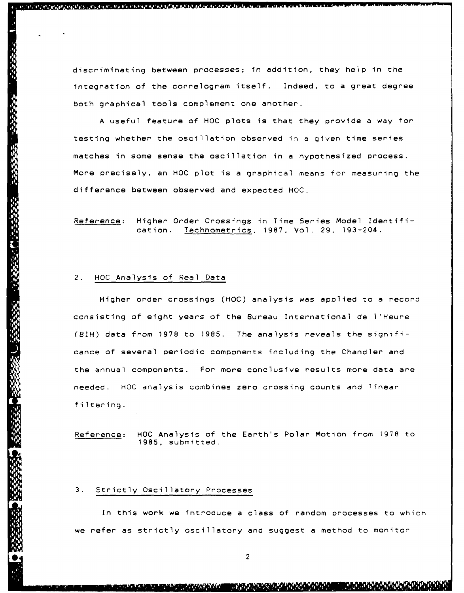discriminating between processes; in addition, they heip in the integration of the correlogram itself. Indeed, to a great degree both graphical tools complement one another.

A useful feature of HOC plots is that they provide a way for testing whether the oscillation observed in a given time series matches in some sense the oscillation in a hypothesized process. More precisely, an **HOC** plot is a graphical means for measuring the difference between observed and expected HOC.

Reference: Higher Order Crossings in Time Series Model Identification. Technometrics, **1987,** Vol. **29,** 193-204.

## 2. HOC Analysis of Real Data

es cos cos composições, organizada as a condizada esta de academica de secunda e a conservada a la alia

Higher order crossings **(HOC)** analysis was applied to a record consisting of eight years of the Bureau International de l'Heure (8H) data from **1978** to **1985.** The analysis reveals the significance of several periodic components including the Chandler and the annual components. For more conclusive results more data are needed. HOC analysis combines zero crossing counts and linear filtering.

Reference: **HOC** Analysis of the Earth's Polar Motion from 1978 to **1985,** submitted.

## **3.** Strictly Oscillatory Processes

In this work we introduce a class of random processes to which we refer as strictly oscillatory and suggest a method to monitor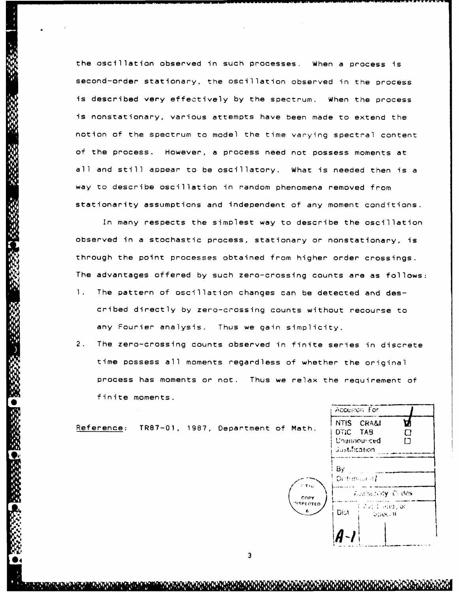the oscillation observed in such processes. When a process is second-order stationary, the oscillation observed in the process is described very effectively by the spectrum. When the process is nonstationary, various attempts have been made to extend the notion of the spectrum to model the time varying spectral content of the process. However, a process need not possess moments at all and still appear to be oscillatory. What is needed then is a way to describe oscillation in random phenomena removed from stationarity assumptions and independent of any moment conditions.

In many respects the simplest way to describe the oscillation observed in a stochastic process, stationary or nonstationary, is through the point processes obtained from higher order crossings. The advantages offered by such zero-crossing counts are as follows: **1.** The pattern of oscillation changes can be detected and described directly by zero-crossing counts without recourse to

any Fourier analysis. Thus we gain simplicity.

2. The zero-crossing counts observed in finite series in discrete time possess all moments regardless of whether the original process has moments or not. Thus we relax the requirement of finite moments.

|                    |                             | Accession for                                                     |  |  |
|--------------------|-----------------------------|-------------------------------------------------------------------|--|--|
| epartment of Math. |                             | NTIS CRA&I<br>DTIC TAB<br>П<br>Unannounced<br>r٦<br>Justification |  |  |
|                    | r tro                       | $\mathbf{B}$ y<br>Distribution I                                  |  |  |
|                    | COPY                        | <b>Availability Cedes</b>                                         |  |  |
|                    | <b><i>NSPECTED</i></b><br>6 | $\rightarrow$ 2 at 1 and 200<br>Dist<br><b>Special</b>            |  |  |
|                    |                             |                                                                   |  |  |
| ◠                  |                             |                                                                   |  |  |

Reference: TR87-01, 1987, D